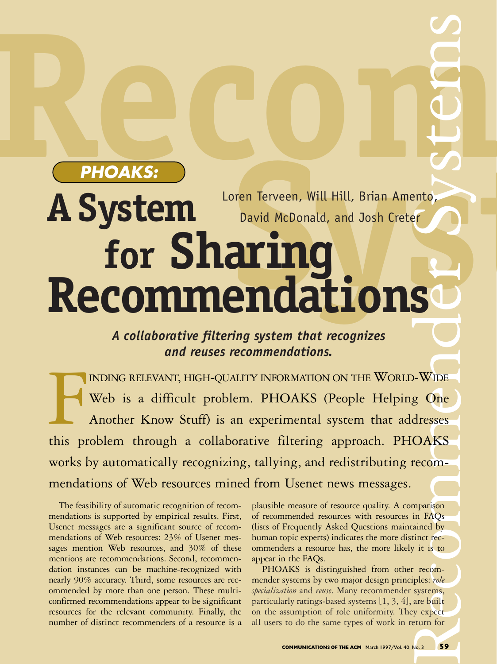# **Recommended** Dren Terveen, Will Hill, Brian Amento, SO CONTROL ento, A System **Loren lerveen, Will**<br>for Sharing **for Sharing Recommendations** Loren Terveen, Will Hill, Brian Amento, David McDonald, and Josh Creter **PHOAKS:**

### *A collaborative filtering system that recognizes and reuses recommendations.*

sison<br>AQs sses<br>KS<br><sub>)m-</sub> Web is a difficult problem. PHOAKS (People Helping One INDING RELEVANT, HIGH-QUALITY INFORMATION ON THE WORLD-WIDE<br>Web is a difficult problem. PHOAKS (People Helping One<br>Another Know Stuff) is an experimental system that addresses<br>this problem through a collaborative filtering INDING RELEVANT, HIGH-QUALITY INFORMATION ON THE WORLD-WIDE Another Know Stuff) is an experimental system that addresses works by automatically recognizing, tallying, and redistributing recommendations of Web resources mined from Usenet news messages.

The feasibility of automatic recognition of recommendations is supported by empirical results. First, Usenet messages are a significant source of recommendations of Web resources: 23% of Usenet messages mention Web resources, and 30% of these mentions are recommendations. Second, recommendation instances can be machine-recognized with nearly 90% accuracy. Third, some resources are recommended by more than one person. These multiconfirmed recommendations appear to be significant resources for the relevant community. Finally, the number of distinct recommenders of a resource is a plausible measure of resource quality. A comparison of recommended resources with resources in FAQs (lists of Frequently Asked Questions maintained by human topic experts) indicates the more distinct recommenders a resource has, the more likely it is to appear in the FAQs.

Finance<br>
it is to<br>
recomples: role<br>
systems,<br>
are built<br>
y expect<br>
turn for<br>
a... PHOAKS is distinguished from other recommender systems by two major design principles: *role specialization* and *reuse*. Many recommender systems, particularly ratings-based systems [1, 3, 4], are built on the assumption of role uniformity. They expect all users to do the same types of work in return for

 $\overline{\phantom{a}}$ 

 $\bigcup$ 

**Manufacture** 

 $\mathcal{S}$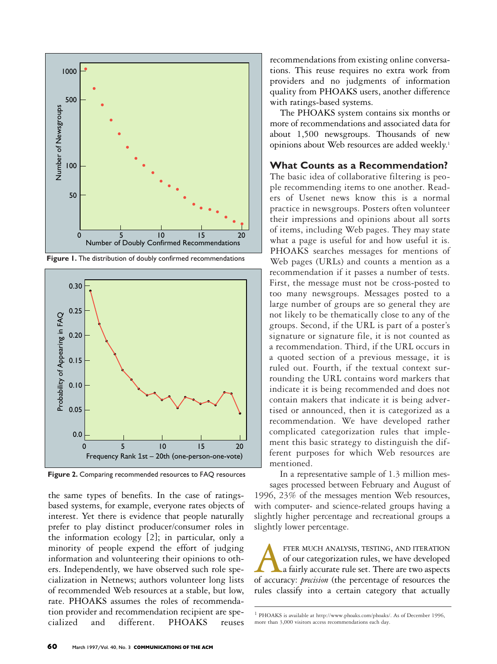

Figure 1. The distribution of doubly confirmed recommendations



Figure 2. Comparing recommended resources to FAQ resources

the same types of benefits. In the case of ratingsbased systems, for example, everyone rates objects of interest. Yet there is evidence that people naturally prefer to play distinct producer/consumer roles in the information ecology [2]; in particular, only a minority of people expend the effort of judging information and volunteering their opinions to others. Independently, we have observed such role specialization in Netnews; authors volunteer long lists of recommended Web resources at a stable, but low, rate. PHOAKS assumes the roles of recommendation provider and recommendation recipient are specialized and different. PHOAKS reuses

recommendations from existing online conversations. This reuse requires no extra work from providers and no judgments of information quality from PHOAKS users, another difference with ratings-based systems.

The PHOAKS system contains six months or more of recommendations and associated data for about 1,500 newsgroups. Thousands of new opinions about Web resources are added weekly. 1

#### **What Counts as a Recommendation?**

The basic idea of collaborative filtering is people recommending items to one another. Readers of Usenet news know this is a normal practice in newsgroups. Posters often volunteer their impressions and opinions about all sorts of items, including Web pages. They may state what a page is useful for and how useful it is. PHOAKS searches messages for mentions of Web pages (URLs) and counts a mention as a recommendation if it passes a number of tests. First, the message must not be cross-posted to too many newsgroups. Messages posted to a large number of groups are so general they are not likely to be thematically close to any of the groups. Second, if the URL is part of a poster's signature or signature file, it is not counted as a recommendation. Third, if the URL occurs in a quoted section of a previous message, it is ruled out. Fourth, if the textual context surrounding the URL contains word markers that indicate it is being recommended and does not contain makers that indicate it is being advertised or announced, then it is categorized as a recommendation. We have developed rather complicated categorization rules that implement this basic strategy to distinguish the different purposes for which Web resources are mentioned.

In a representative sample of 1.3 million messages processed between February and August of 1996, 23% of the messages mention Web resources, with computer- and science-related groups having a slightly higher percentage and recreational groups a slightly lower percentage.

FTER MUCH ANALYSIS, TESTING, AND ITERATION of our categorization rules, we have developed a fairly accurace rule set. There are two aspects of accuracy: *precision* (the percentage of resources the of our categorization rules, we have developed a fairly accurate rule set. There are two aspects rules classify into a certain category that actually

<sup>1</sup> PHOAKS is available at http://www.phoaks.com/phoaks/. As of December 1996, more than 3,000 visitors access recommendations each day.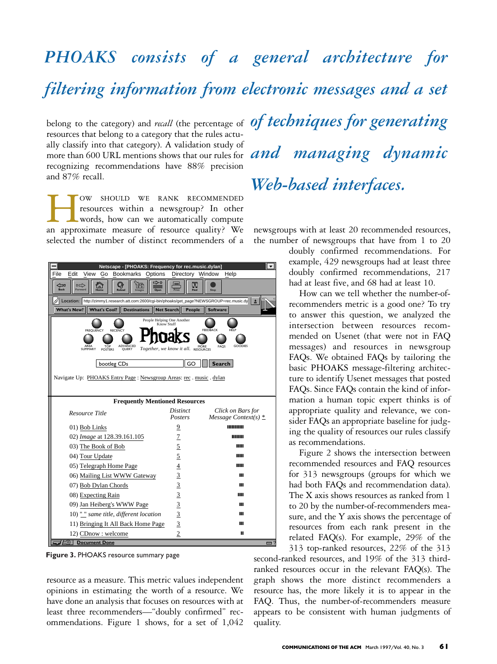## belong to the category) and *recall* (the percentage of *of techniques for generating PHOAKS consists of a general architecture for filtering information from electronic messages and a set*

resources that belong to a category that the rules actually classify into that category). A validation study of recognizing recommendations have 88% precision and 87% recall.

TOW SHOULD WE RANK RECOMMENDED resources within a newsgroup? In other words, how can we automatically compute an approximate measure of resource quality? We resources within a newsgroup? In other words, how can we automatically compute selected the number of distinct recommenders of a



Figure 3. PHOAKS resource summary page

resource as a measure. This metric values independent opinions in estimating the worth of a resource. We have done an analysis that focuses on resources with at least three recommenders—"doubly confirmed" recommendations. Figure 1 shows, for a set of 1,042

any classity into that category). A vandation study of **and managing dynamic** *Web-based interfaces.*

> newsgroups with at least 20 recommended resources, the number of newsgroups that have from 1 to 20

doubly confirmed recommendations. For example, 429 newsgroups had at least three doubly confirmed recommendations, 217 had at least five, and 68 had at least 10.

How can we tell whether the number-ofrecommenders metric is a good one? To try to answer this question, we analyzed the intersection between resources recommended on Usenet (that were not in FAQ messages) and resources in newsgroup FAQs. We obtained FAQs by tailoring the basic PHOAKS message-filtering architecture to identify Usenet messages that posted FAQs. Since FAQs contain the kind of information a human topic expert thinks is of appropriate quality and relevance, we consider FAQs an appropriate baseline for judging the quality of resources our rules classify as recommendations.

Figure 2 shows the intersection between recommended resources and FAQ resources for 313 newsgroups (groups for which we had both FAQs and recommendation data). The X axis shows resources as ranked from 1 to 20 by the number-of-recommenders measure, and the Y axis shows the percentage of resources from each rank present in the related FAQ(s). For example, 29% of the 313 top-ranked resources, 22% of the 313

second-ranked resources, and 19% of the 313 thirdranked resources occur in the relevant FAQ(s). The graph shows the more distinct recommenders a resource has, the more likely it is to appear in the FAQ. Thus, the number-of-recommenders measure appears to be consistent with human judgments of quality.